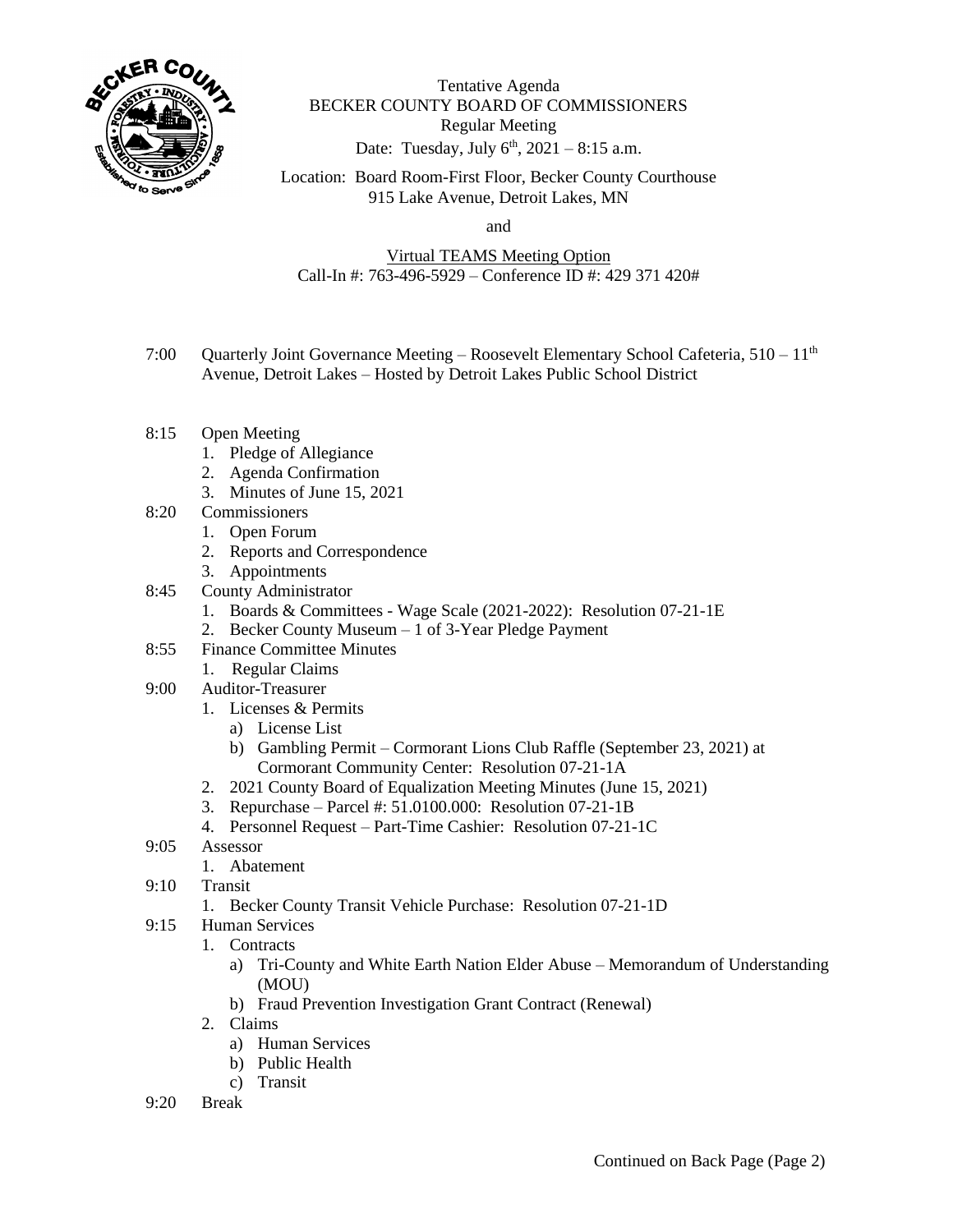

Tentative Agenda BECKER COUNTY BOARD OF COMMISSIONERS Regular Meeting Date: Tuesday, July  $6^{\text{th}}$ , 2021 – 8:15 a.m.

Location: Board Room-First Floor, Becker County Courthouse 915 Lake Avenue, Detroit Lakes, MN

and

Virtual TEAMS Meeting Option Call-In #: 763-496-5929 – Conference ID #: 429 371 420#

- 7:00 Quarterly Joint Governance Meeting Roosevelt Elementary School Cafeteria, 510 11<sup>th</sup> Avenue, Detroit Lakes – Hosted by Detroit Lakes Public School District
- 8:15 Open Meeting
	- 1. Pledge of Allegiance
	- 2. Agenda Confirmation
	- 3. Minutes of June 15, 2021
- 8:20 Commissioners
	- 1. Open Forum
	- 2. Reports and Correspondence
	- 3. Appointments
- 8:45 County Administrator
	- 1. Boards & Committees Wage Scale (2021-2022): Resolution 07-21-1E
	- 2. Becker County Museum 1 of 3-Year Pledge Payment
- 8:55 Finance Committee Minutes
	- 1. Regular Claims
- 9:00 Auditor-Treasurer
	- 1. Licenses & Permits
		- a) License List
		- b) Gambling Permit Cormorant Lions Club Raffle (September 23, 2021) at Cormorant Community Center: Resolution 07-21-1A
	- 2. 2021 County Board of Equalization Meeting Minutes (June 15, 2021)
	- 3. Repurchase Parcel #: 51.0100.000: Resolution 07-21-1B
	- 4. Personnel Request Part-Time Cashier: Resolution 07-21-1C
- 9:05 Assessor
	- 1. Abatement
- 9:10 Transit
	- 1. Becker County Transit Vehicle Purchase: Resolution 07-21-1D
- 9:15 Human Services
	- 1. Contracts
		- a) Tri-County and White Earth Nation Elder Abuse Memorandum of Understanding (MOU)
		- b) Fraud Prevention Investigation Grant Contract (Renewal)
	- 2. Claims
		- a) Human Services
		- b) Public Health
		- c) Transit
- 9:20 Break